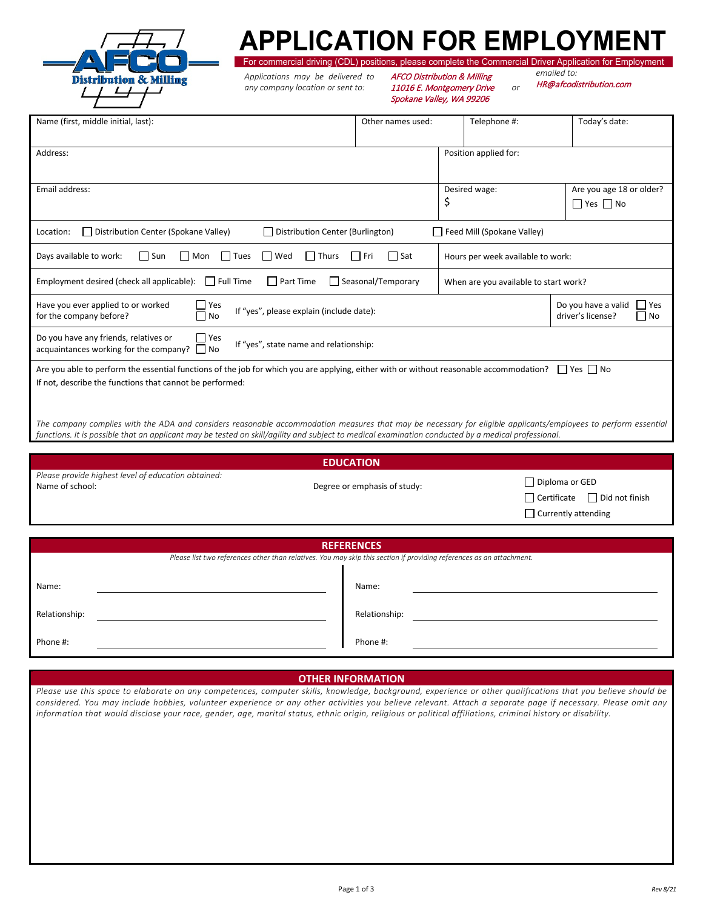

## **APPLICATION FOR EMPLOYMENT**

For commercial driving (CDL) positions, please complete the Commercial Driver Application for Employment *emailed to:* 

*Applications may be delivered to any company location or sent to:* 

AFCO Distribution & Milling 11016 E. Montgomery Drive *or* Spokane Valley, WA 99206

HR@afcodistribution.com

| Name (first, middle initial, last):                                                                                                                                                                 | Other names used: | Telephone #:                          | Today's date:                                             |  |  |
|-----------------------------------------------------------------------------------------------------------------------------------------------------------------------------------------------------|-------------------|---------------------------------------|-----------------------------------------------------------|--|--|
| Address:                                                                                                                                                                                            |                   | Position applied for:                 |                                                           |  |  |
| Email address:                                                                                                                                                                                      |                   | Desired wage:<br>\$                   | Are you age 18 or older?<br>$\Box$ Yes $\Box$ No          |  |  |
| Distribution Center (Spokane Valley)<br>Distribution Center (Burlington)<br>Location:                                                                                                               |                   | Feed Mill (Spokane Valley)            |                                                           |  |  |
| Days available to work:<br>$\Box$ Sun<br>$\Box$ Tues<br>$\Box$<br>Wed<br>$\Box$ Thurs<br>l I Mon                                                                                                    | Sat<br>l I Fri    | Hours per week available to work:     |                                                           |  |  |
| Employment desired (check all applicable):<br>$\Box$ Full Time<br>$\Box$ Part Time<br>Seasonal/Temporary                                                                                            |                   | When are you available to start work? |                                                           |  |  |
| Have you ever applied to or worked<br>Yes<br>If "yes", please explain (include date):<br>for the company before?<br>l No                                                                            |                   |                                       | Do you have a valid<br>l Yes<br>driver's license?<br>  No |  |  |
| $\Box$ Yes<br>Do you have any friends, relatives or<br>If "yes", state name and relationship:<br>acquaintances working for the company? $\Box$ No                                                   |                   |                                       |                                                           |  |  |
| Are you able to perform the essential functions of the job for which you are applying, either with or without reasonable accommodation?<br>If not, describe the functions that cannot be performed: |                   |                                       | Yes   No                                                  |  |  |
| The company complies with the ADA and considers reasonable accommodation measures that may be necessary for eligible applicants/employees to perform essential                                      |                   |                                       |                                                           |  |  |

*functions. It is possible that an applicant may be tested on skill/agility and subject to medical examination conducted by a medical professional.*

|                                                                        | <b>EDUCATION</b>             |                                                                                                 |
|------------------------------------------------------------------------|------------------------------|-------------------------------------------------------------------------------------------------|
| Please provide highest level of education obtained:<br>Name of school: | Degree or emphasis of study: | $\Box$ Diploma or GED<br>$\Box$ Certificate $\Box$ Did not finish<br>$\Box$ Currently attending |
|                                                                        |                              |                                                                                                 |
|                                                                        |                              |                                                                                                 |

|               | <b>REFERENCES</b>                                                                                                    |
|---------------|----------------------------------------------------------------------------------------------------------------------|
|               | Please list two references other than relatives. You may skip this section if providing references as an attachment. |
|               |                                                                                                                      |
| Name:         | Name:                                                                                                                |
|               |                                                                                                                      |
| Relationship: | Relationship:                                                                                                        |
|               |                                                                                                                      |
| Phone #:      | Phone #:                                                                                                             |
|               |                                                                                                                      |

## **OTHER INFORMATION**

*Please use this space to elaborate on any competences, computer skills, knowledge, background, experience or other qualifications that you believe should be considered. You may include hobbies, volunteer experience or any other activities you believe relevant. Attach a separate page if necessary. Please omit any information that would disclose your race, gender, age, marital status, ethnic origin, religious or political affiliations, criminal history or disability.*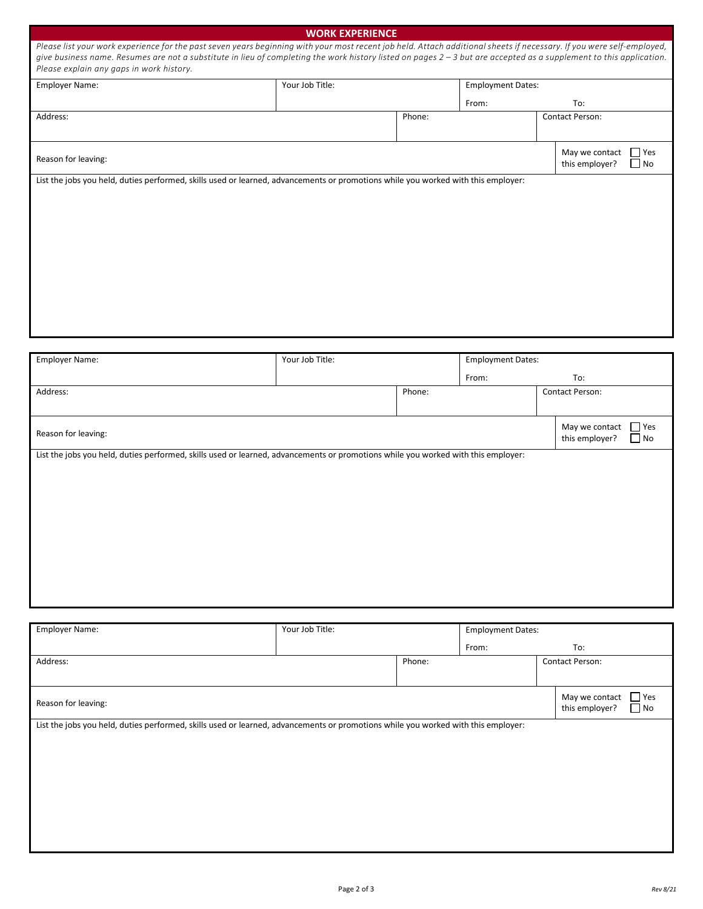|                                                                                                                                                                                                                                                                                                                                                                                          | <b>WORK EXPERIENCE</b> |        |                          |                                                              |
|------------------------------------------------------------------------------------------------------------------------------------------------------------------------------------------------------------------------------------------------------------------------------------------------------------------------------------------------------------------------------------------|------------------------|--------|--------------------------|--------------------------------------------------------------|
| Please list your work experience for the past seven years beginning with your most recent job held. Attach additional sheets if necessary. If you were self-employed,<br>give business name. Resumes are not a substitute in lieu of completing the work history listed on pages 2 - 3 but are accepted as a supplement to this application.<br>Please explain any gaps in work history. |                        |        |                          |                                                              |
| <b>Employer Name:</b>                                                                                                                                                                                                                                                                                                                                                                    | Your Job Title:        |        | <b>Employment Dates:</b> |                                                              |
|                                                                                                                                                                                                                                                                                                                                                                                          |                        |        | From:                    | To:                                                          |
| Address:                                                                                                                                                                                                                                                                                                                                                                                 |                        | Phone: |                          | <b>Contact Person:</b>                                       |
| Reason for leaving:                                                                                                                                                                                                                                                                                                                                                                      |                        |        |                          | T <sub>Yes</sub><br>May we contact<br>this employer?<br>  No |
| List the jobs you held, duties performed, skills used or learned, advancements or promotions while you worked with this employer:                                                                                                                                                                                                                                                        |                        |        |                          |                                                              |

| <b>Employer Name:</b>                                                                                                             | Your Job Title:<br><b>Employment Dates:</b> |        |  |     |                                  |                         |
|-----------------------------------------------------------------------------------------------------------------------------------|---------------------------------------------|--------|--|-----|----------------------------------|-------------------------|
|                                                                                                                                   |                                             | From:  |  | To: |                                  |                         |
| Address:                                                                                                                          |                                             | Phone: |  |     | Contact Person:                  |                         |
|                                                                                                                                   |                                             |        |  |     |                                  |                         |
| Reason for leaving:                                                                                                               |                                             |        |  |     | May we contact<br>this employer? | $\Box$ Yes<br>$\Box$ No |
| List the jobs you held, duties performed, skills used or learned, advancements or promotions while you worked with this employer: |                                             |        |  |     |                                  |                         |
|                                                                                                                                   |                                             |        |  |     |                                  |                         |
|                                                                                                                                   |                                             |        |  |     |                                  |                         |
|                                                                                                                                   |                                             |        |  |     |                                  |                         |
|                                                                                                                                   |                                             |        |  |     |                                  |                         |
|                                                                                                                                   |                                             |        |  |     |                                  |                         |
|                                                                                                                                   |                                             |        |  |     |                                  |                         |
|                                                                                                                                   |                                             |        |  |     |                                  |                         |

| <b>Employer Name:</b>                                                                                                             | Your Job Title: |        | <b>Employment Dates:</b> |  |                                  |                         |
|-----------------------------------------------------------------------------------------------------------------------------------|-----------------|--------|--------------------------|--|----------------------------------|-------------------------|
|                                                                                                                                   |                 | From:  |                          |  | To:                              |                         |
| Address:                                                                                                                          |                 | Phone: |                          |  | Contact Person:                  |                         |
|                                                                                                                                   |                 |        |                          |  |                                  |                         |
| Reason for leaving:                                                                                                               |                 |        |                          |  | May we contact<br>this employer? | $\Box$ Yes<br>$\Box$ No |
| List the jobs you held, duties performed, skills used or learned, advancements or promotions while you worked with this employer: |                 |        |                          |  |                                  |                         |
|                                                                                                                                   |                 |        |                          |  |                                  |                         |
|                                                                                                                                   |                 |        |                          |  |                                  |                         |
|                                                                                                                                   |                 |        |                          |  |                                  |                         |
|                                                                                                                                   |                 |        |                          |  |                                  |                         |
|                                                                                                                                   |                 |        |                          |  |                                  |                         |
|                                                                                                                                   |                 |        |                          |  |                                  |                         |